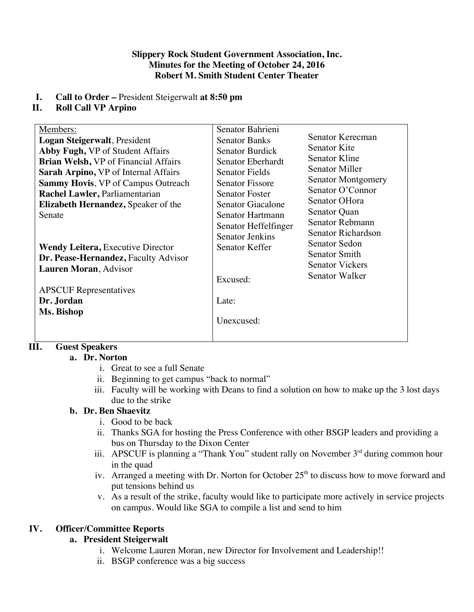#### **Slippery Rock Student Government Association, Inc. Minutes for the Meeting of October 24, 2016 Robert M. Smith Student Center Theater**

# **I. Call to Order –** President Steigerwalt **at 8:50 pm**

# **II. Roll Call VP Arpino**

| Senator Bahrieni<br>Members:<br>Senator Kerecman<br>Logan Steigerwalt, President<br><b>Senator Banks</b>   |  |
|------------------------------------------------------------------------------------------------------------|--|
|                                                                                                            |  |
|                                                                                                            |  |
| Senator Kite<br>Abby Fugh, VP of Student Affairs<br><b>Senator Burdick</b>                                 |  |
| Senator Kline<br><b>Brian Welsh, VP</b> of Financial Affairs<br>Senator Eberhardt<br><b>Senator Miller</b> |  |
| <b>Senator Fields</b><br>Sarah Arpino, VP of Internal Affairs                                              |  |
| <b>Senator Montgomery</b><br><b>Senator Fissore</b><br><b>Sammy Hovis, VP of Campus Outreach</b>           |  |
| Senator O'Connor<br>Rachel Lawler, Parliamentarian<br><b>Senator Foster</b>                                |  |
| Senator OHora<br>Senator Giacalone<br>Elizabeth Hernandez, Speaker of the                                  |  |
| Senator Quan<br>Senator Hartmann<br>Senate                                                                 |  |
| Senator Rebmann<br>Senator Heffelfinger                                                                    |  |
| Senator Richardson<br><b>Senator Jenkins</b>                                                               |  |
| Senator Sedon<br>Senator Keffer<br><b>Wendy Leitera, Executive Director</b>                                |  |
| Senator Smith<br>Dr. Pease-Hernandez, Faculty Advisor                                                      |  |
| <b>Senator Vickers</b><br>Lauren Moran, Advisor                                                            |  |
| Senator Walker<br>Excused:                                                                                 |  |
| <b>APSCUF</b> Representatives                                                                              |  |
| Dr. Jordan<br>Late:                                                                                        |  |
| Ms. Bishop                                                                                                 |  |
| Unexcused:                                                                                                 |  |
|                                                                                                            |  |

# **III. Guest Speakers**

# **a. Dr. Norton**

- i. Great to see a full Senate
- ii. Beginning to get campus "back to normal"
- iii. Faculty will be working with Deans to find a solution on how to make up the 3 lost days due to the strike

# **b. Dr. Ben Shaevitz**

- i. Good to be back
- ii. Thanks SGA for hosting the Press Conference with other BSGP leaders and providing a bus on Thursday to the Dixon Center
- iii. APSCUF is planning a "Thank You" student rally on November  $3<sup>rd</sup>$  during common hour in the quad
- iv. Arranged a meeting with Dr. Norton for October  $25<sup>th</sup>$  to discuss how to move forward and put tensions behind us
- v. As a result of the strike, faculty would like to participate more actively in service projects on campus. Would like SGA to compile a list and send to him

# **IV. Officer/Committee Reports**

# **a. President Steigerwalt**

- i. Welcome Lauren Moran, new Director for Involvement and Leadership!!
- ii. BSGP conference was a big success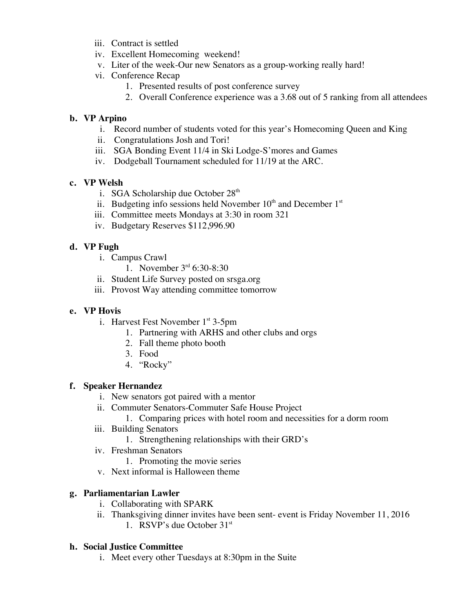- iii. Contract is settled
- iv. Excellent Homecoming weekend!
- v. Liter of the week-Our new Senators as a group-working really hard!
- vi. Conference Recap
	- 1. Presented results of post conference survey
	- 2. Overall Conference experience was a 3.68 out of 5 ranking from all attendees

## **b. VP Arpino**

- i.Record number of students voted for this year's Homecoming Queen and King
- ii. Congratulations Josh and Tori!
- iii. SGA Bonding Event 11/4 in Ski Lodge-S'mores and Games
- iv. Dodgeball Tournament scheduled for 11/19 at the ARC.

## **c. VP Welsh**

- i. SGA Scholarship due October 28<sup>th</sup>
- ii. Budgeting info sessions held November  $10<sup>th</sup>$  and December  $1<sup>st</sup>$
- iii. Committee meets Mondays at 3:30 in room 321
- iv. Budgetary Reserves \$112,996.90

# **d. VP Fugh**

- i. Campus Crawl
	- 1. November 3rd 6:30-8:30
- ii. Student Life Survey posted on srsga.org
- iii. Provost Way attending committee tomorrow

#### **e. VP Hovis**

- i. Harvest Fest November  $1<sup>st</sup> 3-5pm$ 
	- 1. Partnering with ARHS and other clubs and orgs
	- 2. Fall theme photo booth
	- 3. Food
	- 4. "Rocky"

#### **f. Speaker Hernandez**

- i. New senators got paired with a mentor
- ii. Commuter Senators-Commuter Safe House Project
	- 1. Comparing prices with hotel room and necessities for a dorm room
- iii. Building Senators
	- 1. Strengthening relationships with their GRD's
- iv. Freshman Senators
	- 1. Promoting the movie series
- v. Next informal is Halloween theme

# **g. Parliamentarian Lawler**

- i. Collaborating with SPARK
- ii. Thanksgiving dinner invites have been sent- event is Friday November 11, 2016 1. RSVP's due October 31st

#### **h. Social Justice Committee**

i. Meet every other Tuesdays at 8:30pm in the Suite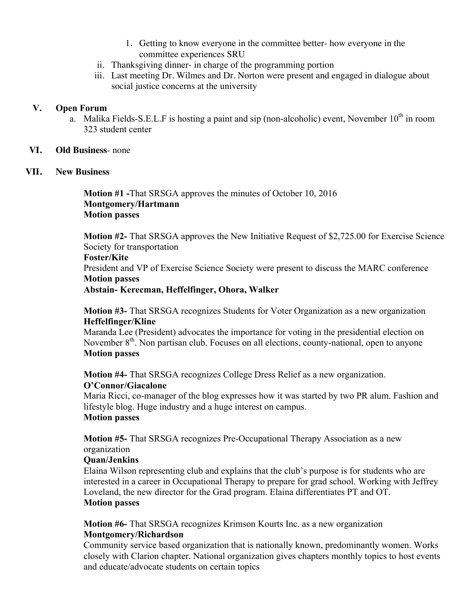- 1. Getting to know everyone in the committee better- how everyone in the committee experiences SRU
- ii. Thanksgiving dinner- in charge of the programming portion
- iii. Last meeting Dr. Wilmes and Dr. Norton were present and engaged in dialogue about social justice concerns at the university

### **V. Open Forum**

a. Malika Fields-S.E.L.F is hosting a paint and sip (non-alcoholic) event, November  $10^{th}$  in room 323 student center

## **VI. Old Business**- none

## **VII. New Business**

**Motion #1 -**That SRSGA approves the minutes of October 10, 2016 **Montgomery/Hartmann Motion passes** 

**Motion #2-** That SRSGA approves the New Initiative Request of \$2,725.00 for Exercise Science Society for transportation **Foster/Kite** President and VP of Exercise Science Society were present to discuss the MARC conference **Motion passes Abstain- Kerecman, Heffelfinger, Ohora, Walker**

**Motion #3-** That SRSGA recognizes Students for Voter Organization as a new organization **Heffelfinger/Kline**

Maranda Lee (President) advocates the importance for voting in the presidential election on November  $8<sup>th</sup>$ . Non partisan club. Focuses on all elections, county-national, open to anyone **Motion passes**

**Motion #4-** That SRSGA recognizes College Dress Relief as a new organization.

# **O'Connor/Giacalone**

Maria Ricci, co-manager of the blog expresses how it was started by two PR alum. Fashion and lifestyle blog. Huge industry and a huge interest on campus. **Motion passes** 

**Motion #5-** That SRSGA recognizes Pre-Occupational Therapy Association as a new organization

# **Quan/Jenkins**

Elaina Wilson representing club and explains that the club's purpose is for students who are interested in a career in Occupational Therapy to prepare for grad school. Working with Jeffrey Loveland, the new director for the Grad program. Elaina differentiates PT and OT. **Motion passes**

**Motion #6-** That SRSGA recognizes Krimson Kourts Inc. as a new organization **Montgomery/Richardson** 

Community service based organization that is nationally known, predominantly women. Works closely with Clarion chapter. National organization gives chapters monthly topics to host events and educate/advocate students on certain topics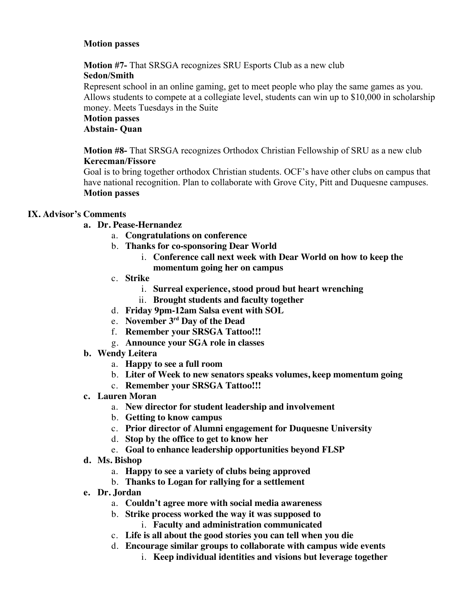## **Motion passes**

**Motion #7-** That SRSGA recognizes SRU Esports Club as a new club

## **Sedon/Smith**

Represent school in an online gaming, get to meet people who play the same games as you. Allows students to compete at a collegiate level, students can win up to \$10,000 in scholarship money. Meets Tuesdays in the Suite

#### **Motion passes Abstain- Quan**

**Motion #8-** That SRSGA recognizes Orthodox Christian Fellowship of SRU as a new club **Kerecman/Fissore** 

Goal is to bring together orthodox Christian students. OCF's have other clubs on campus that have national recognition. Plan to collaborate with Grove City, Pitt and Duquesne campuses. **Motion passes**

# **IX. Advisor's Comments**

# **a. Dr. Pease-Hernandez**

- a. **Congratulations on conference**
- b. **Thanks for co-sponsoring Dear World** 
	- i. **Conference call next week with Dear World on how to keep the momentum going her on campus**
- c. **Strike** 
	- i. **Surreal experience, stood proud but heart wrenching**
	- ii. **Brought students and faculty together**
- d. **Friday 9pm-12am Salsa event with SOL**
- e. **November 3rd Day of the Dead**
- f. **Remember your SRSGA Tattoo!!!**
- g. **Announce your SGA role in classes**
- **b. Wendy Leitera**
	- a. **Happy to see a full room**
	- b. **Liter of Week to new senators speaks volumes, keep momentum going**
	- c. **Remember your SRSGA Tattoo!!!**
- **c. Lauren Moran**
	- a. **New director for student leadership and involvement**
	- b. **Getting to know campus**
	- c. **Prior director of Alumni engagement for Duquesne University**
	- d. **Stop by the office to get to know her**
	- e. **Goal to enhance leadership opportunities beyond FLSP**
- **d. Ms. Bishop**
	- a. **Happy to see a variety of clubs being approved**
	- b. **Thanks to Logan for rallying for a settlement**
- **e. Dr. Jordan**
	- a. **Couldn't agree more with social media awareness**
	- b. **Strike process worked the way it was supposed to**
		- i. **Faculty and administration communicated**
	- c. **Life is all about the good stories you can tell when you die**
	- d. **Encourage similar groups to collaborate with campus wide events** 
		- i. **Keep individual identities and visions but leverage together**